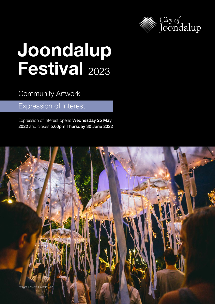

# Joondalup Festival 2023

## Community Artwork

## Expression of Interest

Expression of Interest opens Wednesday 25 May 2022 and closes 5.00pm Thursday 30 June 2022

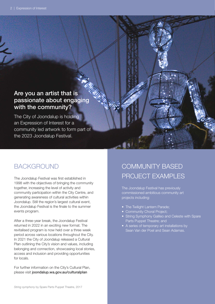### Are you an artist that is passionate about engaging with the community?

The City of Joondalup is holding an Expression of Interest for a community led artwork to form part of the 2023 Joondalup Festival.

## BACKGROUND

The Joondalup Festival was first established in 1998 with the objectives of bringing the community together, increasing the level of activity and community participation within the City Centre, and generating awareness of cultural activities within Joondalup. Still the region's largest cultural event, the Joondalup Festival is the finale to the summer events program.

After a three-year break, the Joondalup Festival returned in 2022 in an exciting new format. The revitalised program is now held over a three week period across various locations throughout the City. In 2021 the City of Joondalup released a Cultural Plan outlining the City's vision and values, including belonging and connection, showcasing local stories, access and inclusion and providing opportunities for locals.

For further information on the City's Cultural Plan, please visit [joondalup.wa.gov.au/culturalplan](http:// joondalup.wa.gov.au/culturalplan)

## COMMUNITY BASED PROJECT EXAMPLES

The Joondalup Festival has previously commissioned ambitious community art projects including:

- The Twilight Lantern Parade;
- Community Choral Project;
- String Symphony Galileo and Celeste with Spare Parts Puppet Theatre; and
- A series of temporary art installations by Sean Van der Poel and Sean Adamas.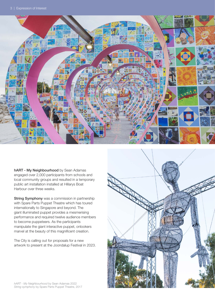

hART - My Neighbourhood by Sean Adamas engaged over 2,000 participants from schools and local community groups and resulted in a temporary public art installation installed at Hillarys Boat Harbour over three weeks.

**String Symphony** was a commission in partnership with Spare Parts Puppet Theatre which has toured internationally to Singapore and beyond. The giant illuminated puppet provides a mesmerising performance and required twelve audience members to become puppeteers. As the participants manipulate the giant interactive puppet, onlookers marvel at the beauty of this magnificent creation.

The City is calling out for proposals for a new artwork to present at the Joondalup Festival in 2023.

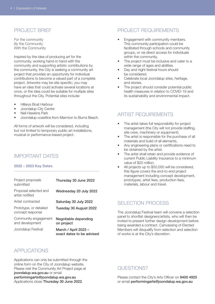#### PROJECT BRIEF

*For* the community *By* the Community *With* the Community

Inspired by the idea of producing art for the community, working hand-in hand with the community and supporting artistic contributions by the community, the City is seeking a community art project that provides an opportunity for individual contributions to become a valued part of a complete project. Artworks may be site specific; you may have an idea that could activate several locations at once, or the idea could be suitable for multiple sites throughout the City. Potential sites include:

- Hillarys Boat Harbour
- Joondalup City Centre
- Neil Hawkins Park
- Joondalup coastline from Marmion to Burns Beach.

All forms of artwork will be considered, including but not limited to temporary public art installations, musical or performance-based project.

#### IMPORTANT DATES

#### 2022 – 2023 Key Dates

| Project proposals<br>submitted             | Thursday 30 June 2022                             |
|--------------------------------------------|---------------------------------------------------|
| Proposal selected and<br>artist notified   | Wednesday 20 July 2022                            |
| Artist contracted                          | Saturday 30 July 2022                             |
| Prototype, or detailed<br>concept response | Tuesday 30 August 2022                            |
| Community engagement<br>and development    | Negotiable depending<br>on project                |
| Joondalup Festival                         | March / April 2023 -<br>exact dates to be advised |

#### PROJECT REQUIREMENTS

- Engagement with community members. This community participation could be facilitated through schools and community groups, or via direct access for individuals within the community.
- The project must be inclusive and cater to a wide range of ages and abilities.
- Day and night festival hours should be considered.
- Celebrate local Joondalup sites, heritage, and stories.
- The project should consider potential public health measures in relation to COVID-19 and its sustainability and environmental impact.

#### ARTIST REQUIREMENTS

- The artist takes full responsibility for project management (the City will not provide staffing, site crew, machinery or equipment).
- The artist is responsible for the purchase of all materials and build of all elements.
- Any engineering plans or certifications need to be obtained by the artist.
- The artist shall retain and provide evidence of current Public Liability Insurance to a minimum value of \$20 million.
- All projects up to \$50,000 will be considered, this figure covers the end-to-end project management including concept development, prototypes, artist fees, production fees, materials, labour and travel.

#### SELECTION PROCESS

The Joondalup Festival team will convene a selection panel to shortlist designers/artists, who will then be invited to present further design development before being awarded a contract. Canvassing of Elected Members will disqualify from selection and selection of works is at the City's discretion.

#### APPLICATIONS

Applications can only be submitted through the online form on the City of Joondalup website. Please visit the Community Art Project page at [joondalup.wa.gov.au](http://Joondalup.wa.gov.au) or email [performingarts@joondalup.wa.gov.au](mailto:performingarts%40joondalup.wa.gov.au?subject=) Applications close Thursday 30 June 2022.

#### QUESTIONS?

Please contact the City's Arts Officer on 9400 4925 or email [performingarts@joondalup.wa.gov.au](mailto:performingarts%40joondalup.wa.gov.au?subject=)